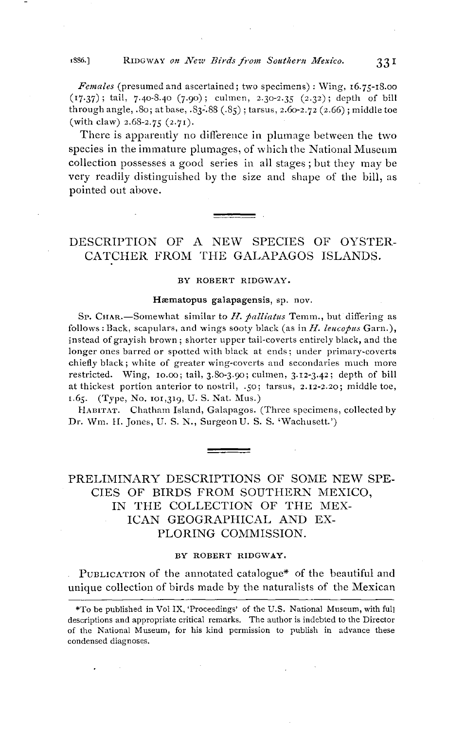## **t** 1886.] RIDGWAY on New Birds from Southern Mexico. 331

**Females (presumed and ascertained; two specimens): Wing, •6.75-•8.oo**  (17.37); tail, 7.40-8.40 (7.90); culmen, 2.30-2.35 (2.32); depth of bill **through angle, .80; at base, .83-'.88 (.85); tarsus, 2.60-2.72 (2.66); middle toe (with claw) 2.68-2.75 (2.7•).** 

**There is apparently no difference in plumage between the two**  species in the immature plumages, of which the National Museum **collection possesses a good series in all stages; but they may be very readily distinguished by the size and shape of the bill, as pointed out above.** 

# **DESCRIPTION OF A NEW SPECIES OF OYSTER-CATCHER FROM THE GALAPAGOS ISLANDS.**

#### **BY ROBERT RIDGWAY.**

### Hæmatopus galapagensis, sp. nov.

Sp. CHAR.-Somewhat similar to H. palliatus Temm., but differing as follows: Back, scapulars, and wings sooty black (as in  $H$ . leucopus Garn.), instead of grayish brown; shorter upper tail-coverts entirely black, and the **longer ones barred or spotted with black at ends; under primary-coverts chiefly black; white of greater wing-coverts and secondaries much more restricted. Wing, •o.oo; tail, 3.80-3.90; cuhnen, 3.•2-3.42; depth of bill at thickest portion anterior to nostril, .50; tarsus, 2.I2-2.2o; middle toe, z.65. (Type, No. m•,3•9, U.S. Nat. Mus.)** 

HABITAT. Chatham Island, Galapagos. (Three specimens, collected by **Dr. Wm. II. Jones, U.S. N., SurgeonU. S.S. •Wachusett.')** 

## **PRELIMINARY DESCRIPTIONS OF SOME NEW SPE-CIES OF BIRDS FROM SOUTHERN MEXICO, IN THE COLLECTION OF THE MEX-ICAN GEOGRAPHICAL AND EX-PLORING COMMISSION.**

### BY ROBERT RIDGWAY.

PUBLICATION of the annotated catalogue<sup>\*</sup> of the beautiful and **unique collection of birds made by the naturalists of the Mexican** 

**<sup>\*</sup>To be published in Vol IX, 'Proceedings' of the U.S. National Museum• with full descriptions and appropriate critical remarks. The author is indebted to the Director**  of the National Museum, for his kind permission to publish in advance these **condensed diagnoses.**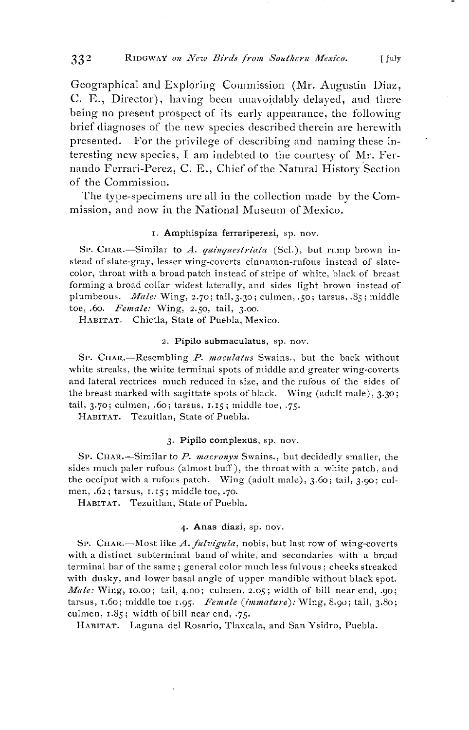**Geographical and Exploring Commission (Mr. Augustin Diaz, C. E., Director), having been unavoidably delayed, a•d there being no present prospect of its early appearance, the following brief diagnoses of the new species described therein are herewith presented. For the privilege of describing and naming these in**teresting new species, I am indebted to the courtesy of Mr. Fernando Ferrari-Perez, C. E., Chief of the Natural History Section **of the Commission.** 

The type-specimens are all in the collection made by the Com**mission, and now in the National Museum of Mexico.** 

### **L Amphispiza ferrariperezi, sp. nov.**

SP. CHAR.-Similar to A. quinquestriata (Scl.), but rump brown in**stead of slate-gray, lesser wing-coverts cinnamon-rufous instead of slatecolor, throat with a broad patch instead of stripe of xvhite, black of breast**  forming a broad collar widest laterally, and sides light brown instead of plumbeous. *Male:* Wing, 2.70; tail, 3.30; culmen, .50; tarsus, .85; middle toe, .60. Female: Wing, 2.50, tail, 3.00.

**HABITAT. Chietla, State of Puebla, Mexico.** 

### **2. Pipilo submaculatus, sp. nov.**

SP. CHAR.—Resembling P. maculatus Swains., but the back without **white streaks, the white terminal spots of middle and greater wing-coverts and lateral rectrices much reduced in size, and the rufous of the sides of the breast marked with sagittate spots of black. Wing (adult male), 3.30; tail, 3.7o; cuhnen, .60; tarsus, •.•5; middle toe, .75-** 

**HABITAT. Tezuitlan, State of Puebla.** 

#### **3. Pipilo complexus, sp. nov.**

SP. CHAR.-Similar to P. macronyx Swains., but decidedly smaller, the sides much paler rufous (almost buff), the throat with a white patch, and **the occiput with a rufous patch. Wing (adult male), 3.60; tail, 3.90; cul**men, .62; tarsus, 1.15; middle toe, .70.

**HABITAT. Tezuitlan, State of Puebla.** 

### **4. Anas diazi, sp. nov.**

SP. CHAR.-Most like A. fulvigula, nobis, but last row of wing-coverts with a distinct subterminal band of white, and secondaries with a broad **terminal bar of the same; general color much less lgulvous; cheeks streaked with dusky, and lower basal angle of upper mandible without black spot. Male: Wing, xo.oo; tail, 4.00; culmen, 2.05; width of bill near end, .9o; tarsus, •.6o; •niddle toe •.95. Female (immature): Wing, 8.9o; tail, 3.80; culmen, •.85; width of bill near end, -75-** 

HABITAT. Laguna del Rosario, Tlaxcala, and San Ysidro, Puebla.